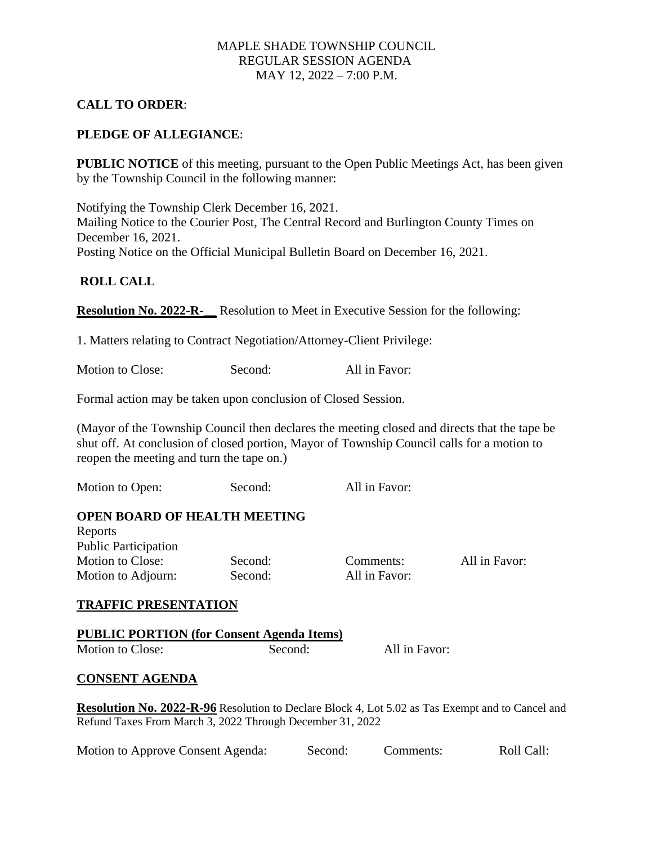# MAPLE SHADE TOWNSHIP COUNCIL REGULAR SESSION AGENDA MAY 12, 2022 – 7:00 P.M.

# **CALL TO ORDER**:

## **PLEDGE OF ALLEGIANCE**:

**PUBLIC NOTICE** of this meeting, pursuant to the Open Public Meetings Act, has been given by the Township Council in the following manner:

Notifying the Township Clerk December 16, 2021. Mailing Notice to the Courier Post, The Central Record and Burlington County Times on December 16, 2021. Posting Notice on the Official Municipal Bulletin Board on December 16, 2021.

### **ROLL CALL**

**Resolution No. 2022-R-\_\_** Resolution to Meet in Executive Session for the following:

1. Matters relating to Contract Negotiation/Attorney-Client Privilege:

Motion to Close: Second: All in Favor:

Formal action may be taken upon conclusion of Closed Session.

(Mayor of the Township Council then declares the meeting closed and directs that the tape be shut off. At conclusion of closed portion, Mayor of Township Council calls for a motion to reopen the meeting and turn the tape on.)

Motion to Open: Second: All in Favor:

#### **OPEN BOARD OF HEALTH MEETING**

| Reports                     |    |
|-----------------------------|----|
| <b>Public Participation</b> |    |
| <b>Motion to Close:</b>     | Se |
| Motion to Adjourn:          | Se |

cond: All in Favor:

cond: Comments: All in Favor:

### **TRAFFIC PRESENTATION**

|                  | <b>PUBLIC PORTION (for Consent Agenda Items)</b> |               |
|------------------|--------------------------------------------------|---------------|
| Motion to Close: | Second:                                          | All in Favor: |

#### **CONSENT AGENDA**

**Resolution No. 2022-R-96** Resolution to Declare Block 4, Lot 5.02 as Tas Exempt and to Cancel and Refund Taxes From March 3, 2022 Through December 31, 2022

| Motion to Approve Consent Agenda: | Roll Call: |
|-----------------------------------|------------|
| Second:                           | Comments:  |